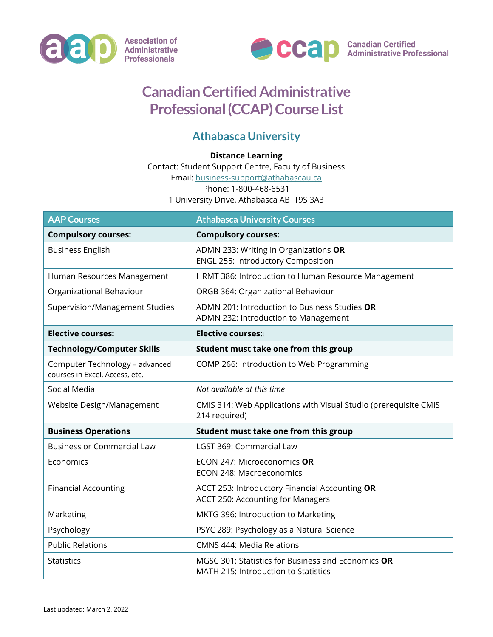



## **Canadian Certified Administrative Professional (CCAP) Course List**

## **Athabasca University**

## **Distance Learning**

Contact: Student Support Centre, Faculty of Business

Email: [business-support@athabascau.ca](mailto:business-support@athabascau.ca)

Phone: 1-800-468-6531

1 University Drive, Athabasca AB T9S 3A3

| <b>AAP Courses</b>                                               | <b>Athabasca University Courses</b>                                                        |
|------------------------------------------------------------------|--------------------------------------------------------------------------------------------|
| <b>Compulsory courses:</b>                                       | <b>Compulsory courses:</b>                                                                 |
| <b>Business English</b>                                          | ADMN 233: Writing in Organizations OR<br><b>ENGL 255: Introductory Composition</b>         |
| Human Resources Management                                       | HRMT 386: Introduction to Human Resource Management                                        |
| Organizational Behaviour                                         | ORGB 364: Organizational Behaviour                                                         |
| Supervision/Management Studies                                   | ADMN 201: Introduction to Business Studies OR<br>ADMN 232: Introduction to Management      |
| <b>Elective courses:</b>                                         | <b>Elective courses:</b> t                                                                 |
| <b>Technology/Computer Skills</b>                                | Student must take one from this group                                                      |
| Computer Technology - advanced<br>courses in Excel, Access, etc. | COMP 266: Introduction to Web Programming                                                  |
| Social Media                                                     | Not available at this time                                                                 |
| Website Design/Management                                        | CMIS 314: Web Applications with Visual Studio (prerequisite CMIS<br>214 required)          |
| <b>Business Operations</b>                                       | Student must take one from this group                                                      |
| <b>Business or Commercial Law</b>                                | LGST 369: Commercial Law                                                                   |
| Economics                                                        | ECON 247: Microeconomics OR<br><b>ECON 248: Macroeconomics</b>                             |
| <b>Financial Accounting</b>                                      | ACCT 253: Introductory Financial Accounting OR<br>ACCT 250: Accounting for Managers        |
| Marketing                                                        | MKTG 396: Introduction to Marketing                                                        |
| Psychology                                                       | PSYC 289: Psychology as a Natural Science                                                  |
| <b>Public Relations</b>                                          | <b>CMNS 444: Media Relations</b>                                                           |
| <b>Statistics</b>                                                | MGSC 301: Statistics for Business and Economics OR<br>MATH 215: Introduction to Statistics |